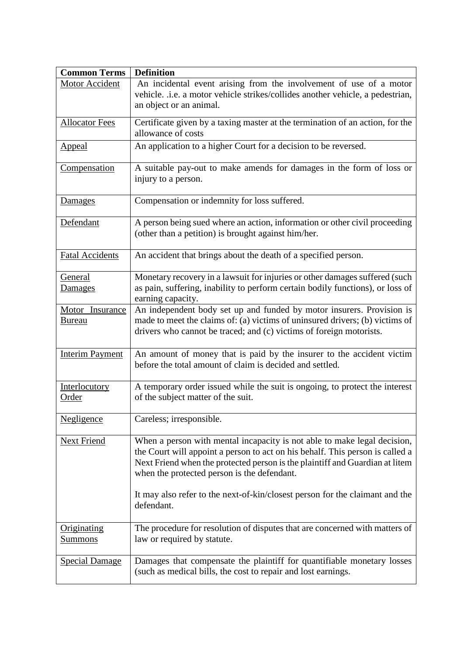| <b>Common Terms</b>    | <b>Definition</b>                                                                                                                 |
|------------------------|-----------------------------------------------------------------------------------------------------------------------------------|
| Motor Accident         | An incidental event arising from the involvement of use of a motor                                                                |
|                        | vehicle. .i.e. a motor vehicle strikes/collides another vehicle, a pedestrian,                                                    |
|                        | an object or an animal.                                                                                                           |
| <b>Allocator Fees</b>  | Certificate given by a taxing master at the termination of an action, for the                                                     |
|                        | allowance of costs                                                                                                                |
| <b>Appeal</b>          | An application to a higher Court for a decision to be reversed.                                                                   |
| Compensation           | A suitable pay-out to make amends for damages in the form of loss or                                                              |
|                        | injury to a person.                                                                                                               |
| Damages                | Compensation or indemnity for loss suffered.                                                                                      |
| Defendant              | A person being sued where an action, information or other civil proceeding<br>(other than a petition) is brought against him/her. |
| <b>Fatal Accidents</b> | An accident that brings about the death of a specified person.                                                                    |
| General                | Monetary recovery in a lawsuit for injuries or other damages suffered (such                                                       |
| Damages                | as pain, suffering, inability to perform certain bodily functions), or loss of<br>earning capacity.                               |
| Motor Insurance        | An independent body set up and funded by motor insurers. Provision is                                                             |
| <b>Bureau</b>          | made to meet the claims of: (a) victims of uninsured drivers; (b) victims of                                                      |
|                        | drivers who cannot be traced; and (c) victims of foreign motorists.                                                               |
| <b>Interim Payment</b> | An amount of money that is paid by the insurer to the accident victim                                                             |
|                        | before the total amount of claim is decided and settled.                                                                          |
| Interlocutory          | A temporary order issued while the suit is ongoing, to protect the interest                                                       |
| <b>Order</b>           | of the subject matter of the suit.                                                                                                |
| <b>Negligence</b>      | Careless; irresponsible.                                                                                                          |
| <b>Next Friend</b>     | When a person with mental incapacity is not able to make legal decision,                                                          |
|                        | the Court will appoint a person to act on his behalf. This person is called a                                                     |
|                        | Next Friend when the protected person is the plaintiff and Guardian at litem                                                      |
|                        | when the protected person is the defendant.                                                                                       |
|                        | It may also refer to the next-of-kin/closest person for the claimant and the                                                      |
|                        | defendant.                                                                                                                        |
| Originating            | The procedure for resolution of disputes that are concerned with matters of                                                       |
| <u>Summons</u>         | law or required by statute.                                                                                                       |
| <b>Special Damage</b>  | Damages that compensate the plaintiff for quantifiable monetary losses                                                            |
|                        | (such as medical bills, the cost to repair and lost earnings.                                                                     |